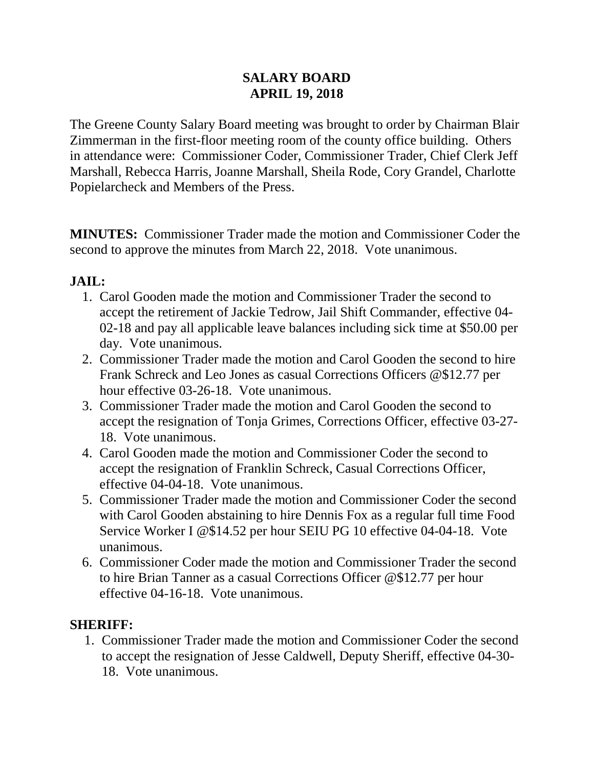### **SALARY BOARD APRIL 19, 2018**

The Greene County Salary Board meeting was brought to order by Chairman Blair Zimmerman in the first-floor meeting room of the county office building. Others in attendance were: Commissioner Coder, Commissioner Trader, Chief Clerk Jeff Marshall, Rebecca Harris, Joanne Marshall, Sheila Rode, Cory Grandel, Charlotte Popielarcheck and Members of the Press.

**MINUTES:** Commissioner Trader made the motion and Commissioner Coder the second to approve the minutes from March 22, 2018. Vote unanimous.

### **JAIL:**

- 1. Carol Gooden made the motion and Commissioner Trader the second to accept the retirement of Jackie Tedrow, Jail Shift Commander, effective 04- 02-18 and pay all applicable leave balances including sick time at \$50.00 per day. Vote unanimous.
- 2. Commissioner Trader made the motion and Carol Gooden the second to hire Frank Schreck and Leo Jones as casual Corrections Officers @\$12.77 per hour effective 03-26-18. Vote unanimous.
- 3. Commissioner Trader made the motion and Carol Gooden the second to accept the resignation of Tonja Grimes, Corrections Officer, effective 03-27- 18. Vote unanimous.
- 4. Carol Gooden made the motion and Commissioner Coder the second to accept the resignation of Franklin Schreck, Casual Corrections Officer, effective 04-04-18. Vote unanimous.
- 5. Commissioner Trader made the motion and Commissioner Coder the second with Carol Gooden abstaining to hire Dennis Fox as a regular full time Food Service Worker I @\$14.52 per hour SEIU PG 10 effective 04-04-18. Vote unanimous.
- 6. Commissioner Coder made the motion and Commissioner Trader the second to hire Brian Tanner as a casual Corrections Officer @\$12.77 per hour effective 04-16-18. Vote unanimous.

#### **SHERIFF:**

1. Commissioner Trader made the motion and Commissioner Coder the second to accept the resignation of Jesse Caldwell, Deputy Sheriff, effective 04-30- 18. Vote unanimous.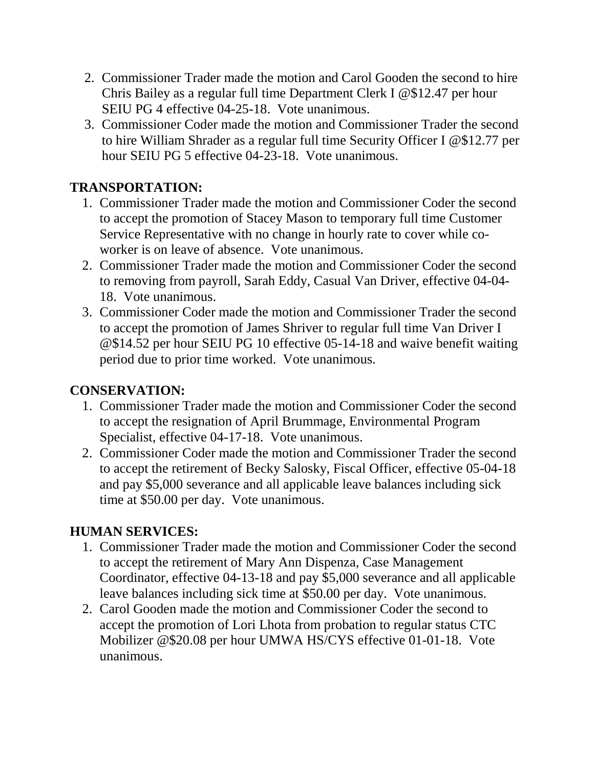- 2. Commissioner Trader made the motion and Carol Gooden the second to hire Chris Bailey as a regular full time Department Clerk I @\$12.47 per hour SEIU PG 4 effective 04-25-18. Vote unanimous.
- 3. Commissioner Coder made the motion and Commissioner Trader the second to hire William Shrader as a regular full time Security Officer I @\$12.77 per hour SEIU PG 5 effective 04-23-18. Vote unanimous.

### **TRANSPORTATION:**

- 1. Commissioner Trader made the motion and Commissioner Coder the second to accept the promotion of Stacey Mason to temporary full time Customer Service Representative with no change in hourly rate to cover while coworker is on leave of absence. Vote unanimous.
- 2. Commissioner Trader made the motion and Commissioner Coder the second to removing from payroll, Sarah Eddy, Casual Van Driver, effective 04-04- 18. Vote unanimous.
- 3. Commissioner Coder made the motion and Commissioner Trader the second to accept the promotion of James Shriver to regular full time Van Driver I @\$14.52 per hour SEIU PG 10 effective 05-14-18 and waive benefit waiting period due to prior time worked. Vote unanimous.

### **CONSERVATION:**

- 1. Commissioner Trader made the motion and Commissioner Coder the second to accept the resignation of April Brummage, Environmental Program Specialist, effective 04-17-18. Vote unanimous.
- 2. Commissioner Coder made the motion and Commissioner Trader the second to accept the retirement of Becky Salosky, Fiscal Officer, effective 05-04-18 and pay \$5,000 severance and all applicable leave balances including sick time at \$50.00 per day. Vote unanimous.

### **HUMAN SERVICES:**

- 1. Commissioner Trader made the motion and Commissioner Coder the second to accept the retirement of Mary Ann Dispenza, Case Management Coordinator, effective 04-13-18 and pay \$5,000 severance and all applicable leave balances including sick time at \$50.00 per day. Vote unanimous.
- 2. Carol Gooden made the motion and Commissioner Coder the second to accept the promotion of Lori Lhota from probation to regular status CTC Mobilizer @\$20.08 per hour UMWA HS/CYS effective 01-01-18. Vote unanimous.